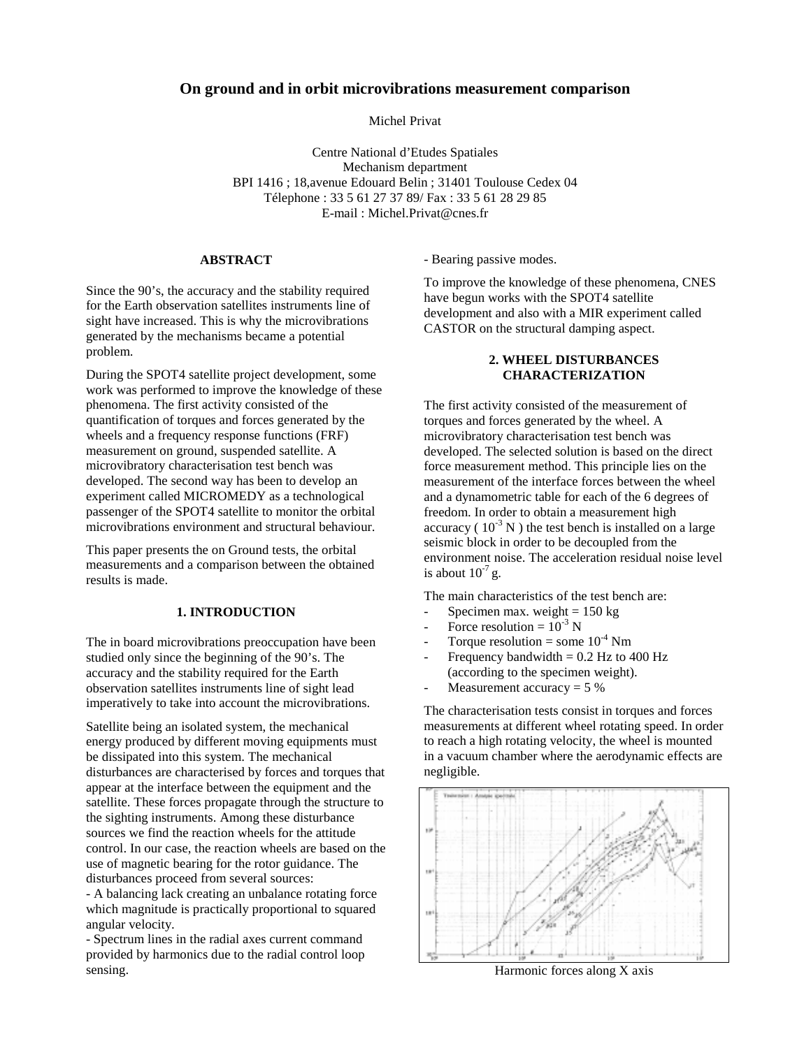# **On ground and in orbit microvibrations measurement comparison**

Michel Privat

Centre National d'Etudes Spatiales Mechanism department BPI 1416 ; 18,avenue Edouard Belin ; 31401 Toulouse Cedex 04 Télephone : 33 5 61 27 37 89/ Fax : 33 5 61 28 29 85 E-mail : Michel.Privat@cnes.fr

#### **ABSTRACT**

Since the 90's, the accuracy and the stability required for the Earth observation satellites instruments line of sight have increased. This is why the microvibrations generated by the mechanisms became a potential problem.

During the SPOT4 satellite project development, some work was performed to improve the knowledge of these phenomena. The first activity consisted of the quantification of torques and forces generated by the wheels and a frequency response functions (FRF) measurement on ground, suspended satellite. A microvibratory characterisation test bench was developed. The second way has been to develop an experiment called MICROMEDY as a technological passenger of the SPOT4 satellite to monitor the orbital microvibrations environment and structural behaviour.

This paper presents the on Ground tests, the orbital measurements and a comparison between the obtained results is made.

## **1. INTRODUCTION**

The in board microvibrations preoccupation have been studied only since the beginning of the 90's. The accuracy and the stability required for the Earth observation satellites instruments line of sight lead imperatively to take into account the microvibrations.

Satellite being an isolated system, the mechanical energy produced by different moving equipments must be dissipated into this system. The mechanical disturbances are characterised by forces and torques that appear at the interface between the equipment and the satellite. These forces propagate through the structure to the sighting instruments. Among these disturbance sources we find the reaction wheels for the attitude control. In our case, the reaction wheels are based on the use of magnetic bearing for the rotor guidance. The disturbances proceed from several sources:

- A balancing lack creating an unbalance rotating force which magnitude is practically proportional to squared angular velocity.

- Spectrum lines in the radial axes current command provided by harmonics due to the radial control loop sensing.

#### - Bearing passive modes.

To improve the knowledge of these phenomena, CNES have begun works with the SPOT4 satellite development and also with a MIR experiment called CASTOR on the structural damping aspect.

## **2. WHEEL DISTURBANCES CHARACTERIZATION**

The first activity consisted of the measurement of torques and forces generated by the wheel. A microvibratory characterisation test bench was developed. The selected solution is based on the direct force measurement method. This principle lies on the measurement of the interface forces between the wheel and a dynamometric table for each of the 6 degrees of freedom. In order to obtain a measurement high accuracy ( $10^{-3}$  N) the test bench is installed on a large seismic block in order to be decoupled from the environment noise. The acceleration residual noise level is about  $10^{-7}$  g.

The main characteristics of the test bench are:

- Specimen max. weight  $= 150 \text{ kg}$
- Force resolution =  $10^{-3}$  N
- Torque resolution = some  $10^{-4}$  Nm
- Frequency bandwidth  $= 0.2$  Hz to 400 Hz (according to the specimen weight).
- Measurement accuracy  $= 5\%$

The characterisation tests consist in torques and forces measurements at different wheel rotating speed. In order to reach a high rotating velocity, the wheel is mounted in a vacuum chamber where the aerodynamic effects are negligible.



Harmonic forces along X axis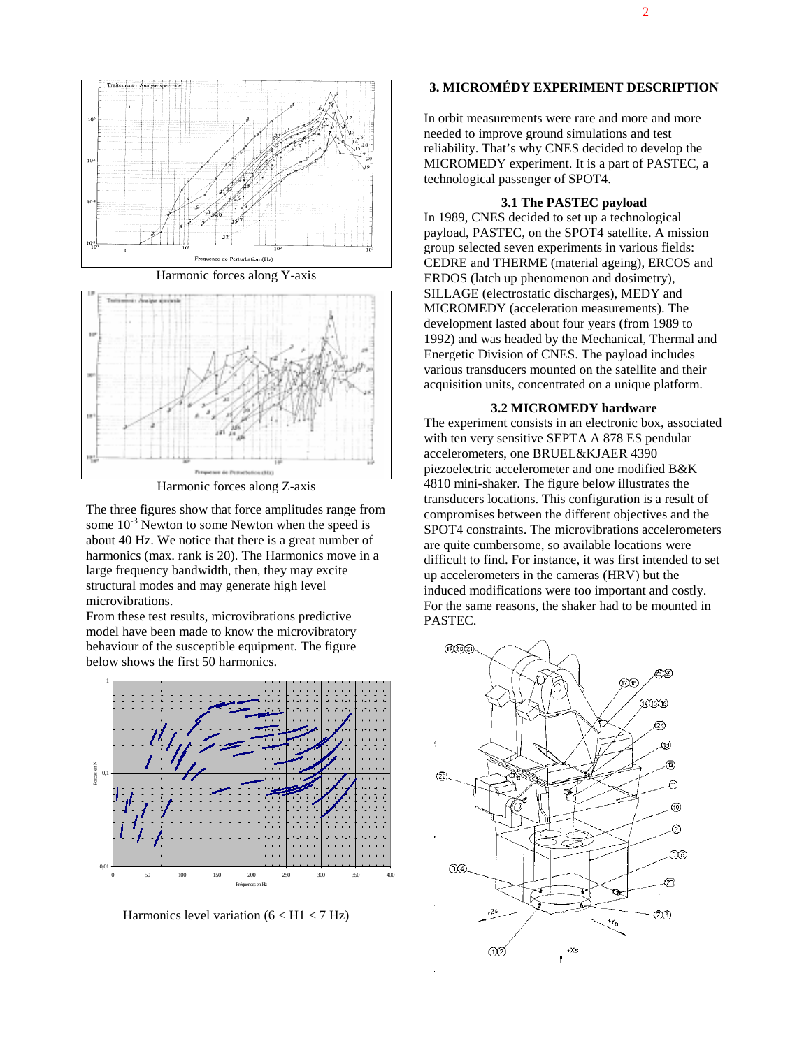

Harmonic forces along Y-axis



Harmonic forces along Z-axis

The three figures show that force amplitudes range from some  $10^{-3}$  Newton to some Newton when the speed is about 40 Hz. We notice that there is a great number of harmonics (max. rank is 20). The Harmonics move in a large frequency bandwidth, then, they may excite structural modes and may generate high level microvibrations.

From these test results, microvibrations predictive model have been made to know the microvibratory behaviour of the susceptible equipment. The figure below shows the first 50 harmonics.



Harmonics level variation  $(6 < H1 < 7 Hz)$ 

# **3. MICROMÉDY EXPERIMENT DESCRIPTION**

In orbit measurements were rare and more and more needed to improve ground simulations and test reliability. That's why CNES decided to develop the MICROMEDY experiment. It is a part of PASTEC, a technological passenger of SPOT4.

#### **3.1 The PASTEC payload**

In 1989, CNES decided to set up a technological payload, PASTEC, on the SPOT4 satellite. A mission group selected seven experiments in various fields: CEDRE and THERME (material ageing), ERCOS and ERDOS (latch up phenomenon and dosimetry), SILLAGE (electrostatic discharges), MEDY and MICROMEDY (acceleration measurements). The development lasted about four years (from 1989 to 1992) and was headed by the Mechanical, Thermal and Energetic Division of CNES. The payload includes various transducers mounted on the satellite and their acquisition units, concentrated on a unique platform.

### **3.2 MICROMEDY hardware**

The experiment consists in an electronic box, associated with ten very sensitive SEPTA A 878 ES pendular accelerometers, one BRUEL&KJAER 4390 piezoelectric accelerometer and one modified B&K 4810 mini-shaker. The figure below illustrates the transducers locations. This configuration is a result of compromises between the different objectives and the SPOT4 constraints. The microvibrations accelerometers are quite cumbersome, so available locations were difficult to find. For instance, it was first intended to set up accelerometers in the cameras (HRV) but the induced modifications were too important and costly. For the same reasons, the shaker had to be mounted in PASTEC.

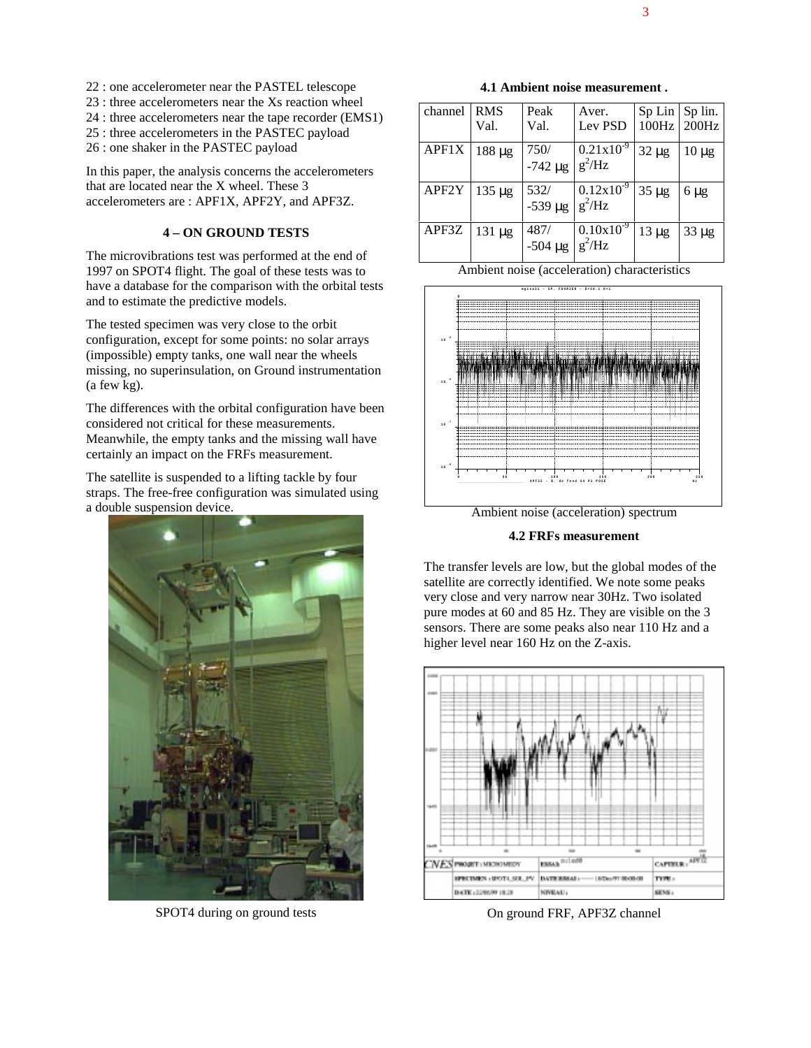- 22 : one accelerometer near the PASTEL telescope
- 23 : three accelerometers near the Xs reaction wheel
- 24 : three accelerometers near the tape recorder (EMS1)
- 25 : three accelerometers in the PASTEC payload
- 26 : one shaker in the PASTEC payload

In this paper, the analysis concerns the accelerometers that are located near the X wheel. These 3 accelerometers are : APF1X, APF2Y, and APF3Z.

## **4 – ON GROUND TESTS**

The microvibrations test was performed at the end of 1997 on SPOT4 flight. The goal of these tests was to have a database for the comparison with the orbital tests and to estimate the predictive models.

The tested specimen was very close to the orbit configuration, except for some points: no solar arrays (impossible) empty tanks, one wall near the wheels missing, no superinsulation, on Ground instrumentation (a few kg).

The differences with the orbital configuration have been considered not critical for these measurements. Meanwhile, the empty tanks and the missing wall have certainly an impact on the FRFs measurement.

The satellite is suspended to a lifting tackle by four straps. The free-free configuration was simulated using a double suspension device.



SPOT4 during on ground tests

**4.1 Ambient noise measurement .**

| channel | <b>RMS</b>  | Peak            | Aver.          | Sp Lin     | Sp lin.     |
|---------|-------------|-----------------|----------------|------------|-------------|
|         | Val.        | Val.            | Lev PSD        |            | 100Hz 200Hz |
| APF1X   | $188 \mu g$ | 750/            | $0.21x10^{-9}$ | $32 \mu g$ | $10 \mu$ g  |
|         |             | $-742 \mu g$    | $g^2/Hz$       |            |             |
| APF2Y   | $135 \mu g$ | 532/<br>-539 μg | $0.12x10^{-9}$ | $35 \mu g$ | $6 \mu g$   |
|         |             |                 | $g^2/Hz$       |            |             |
| APF3Z   | $131 \mu g$ | 487/            | $0.10x10^{-9}$ | $13 \mu g$ | $33 \mu g$  |
|         |             | $-504 \mu g$    | $g^2/Hz$       |            |             |

Ambient noise (acceleration) characteristics



Ambient noise (acceleration) spectrum

**4.2 FRFs measurement**

The transfer levels are low, but the global modes of the satellite are correctly identified. We note some peaks very close and very narrow near 30Hz. Two isolated pure modes at 60 and 85 Hz. They are visible on the 3 sensors. There are some peaks also near 110 Hz and a higher level near 160 Hz on the Z-axis.



On ground FRF, APF3Z channel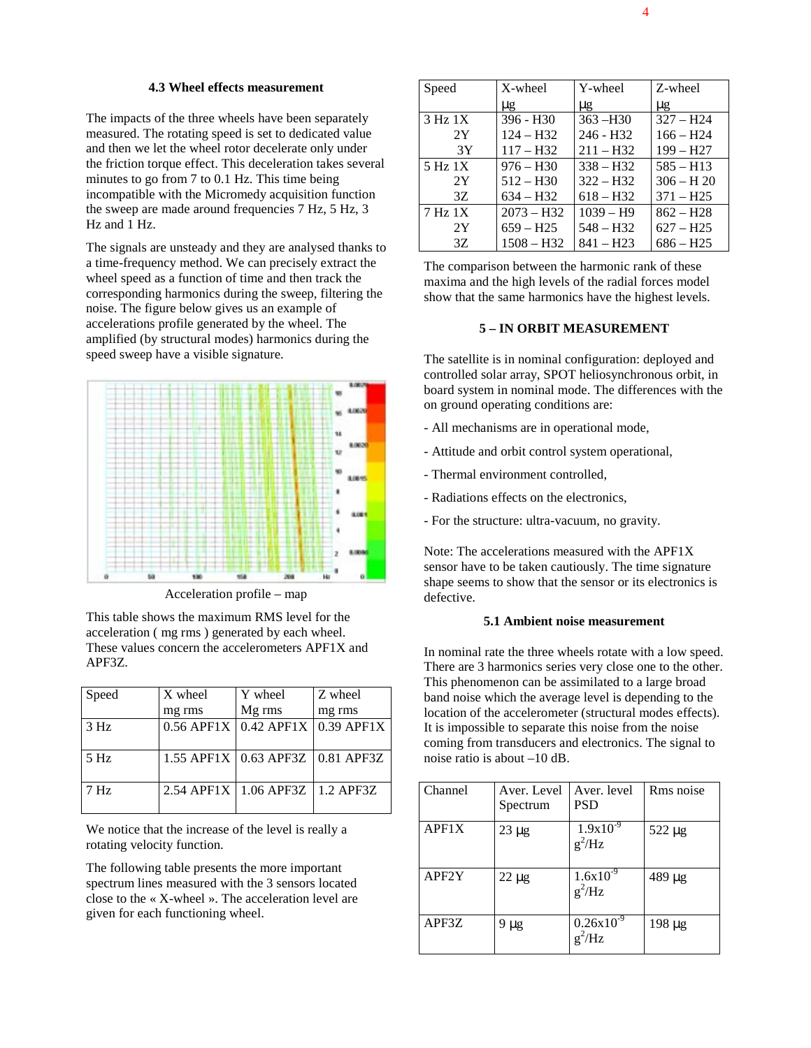## **4.3 Wheel effects measurement**

The impacts of the three wheels have been separately measured. The rotating speed is set to dedicated value and then we let the wheel rotor decelerate only under the friction torque effect. This deceleration takes several minutes to go from 7 to 0.1 Hz. This time being incompatible with the Micromedy acquisition function the sweep are made around frequencies 7 Hz, 5 Hz, 3 Hz and 1 Hz.

The signals are unsteady and they are analysed thanks to a time-frequency method. We can precisely extract the wheel speed as a function of time and then track the corresponding harmonics during the sweep, filtering the noise. The figure below gives us an example of accelerations profile generated by the wheel. The amplified (by structural modes) harmonics during the speed sweep have a visible signature.



Acceleration profile – map

This table shows the maximum RMS level for the acceleration ( mg rms ) generated by each wheel. These values concern the accelerometers APF1X and APF3Z.

| Speed           | X wheel              | Y wheel                              | Z wheel |
|-----------------|----------------------|--------------------------------------|---------|
|                 | mg rms               | Mg rms                               | mg rms  |
| 3 Hz            | $0.56$ APF1X $\vert$ | $0.42$ APF1X $\vert$ 0.39 APF1X      |         |
| $5$ Hz          |                      | 1.55 APF1X   0.63 APF3Z   0.81 APF3Z |         |
| 7 <sub>Hz</sub> |                      | 2.54 APF1X   1.06 APF3Z   1.2 APF3Z  |         |

We notice that the increase of the level is really a rotating velocity function.

The following table presents the more important spectrum lines measured with the 3 sensors located close to the « X-wheel ». The acceleration level are given for each functioning wheel.

| Speed               | X-wheel      | Y-wheel     | Z-wheel      |
|---------------------|--------------|-------------|--------------|
|                     | $\mu$ g      | $\mu$ g     | $\mu$ g      |
| 3 Hz 1X             | $396 - H30$  | $363 - H30$ | $327 - H24$  |
| 2Y                  | $124 - H32$  | $246 - H32$ | $166 - H24$  |
| 3Y                  | $117 - H32$  | $211 - H32$ | $199 - H27$  |
| 5 Hz 1X             | $976 - H30$  | $338 - H32$ | $585 - H13$  |
| 2Y                  | $512 - H30$  | $322 - H32$ | $306 - H$ 20 |
| 3Z                  | $634 - H32$  | $618 - H32$ | $371 - H25$  |
| 7 H <sub>z</sub> 1X | $2073 - H32$ | $1039 - H9$ | $862 - H28$  |
| 2Y                  | $659 - H25$  | $548 - H32$ | $627 - H25$  |
| 3Z                  | $1508 - H32$ | $841 - H23$ | $686 - H25$  |

The comparison between the harmonic rank of these maxima and the high levels of the radial forces model show that the same harmonics have the highest levels.

## **5 – IN ORBIT MEASUREMENT**

The satellite is in nominal configuration: deployed and controlled solar array, SPOT heliosynchronous orbit, in board system in nominal mode. The differences with the on ground operating conditions are:

- All mechanisms are in operational mode,
- Attitude and orbit control system operational,
- Thermal environment controlled,
- Radiations effects on the electronics,
- For the structure: ultra-vacuum, no gravity.

Note: The accelerations measured with the APF1X sensor have to be taken cautiously. The time signature shape seems to show that the sensor or its electronics is defective.

## **5.1 Ambient noise measurement**

In nominal rate the three wheels rotate with a low speed. There are 3 harmonics series very close one to the other. This phenomenon can be assimilated to a large broad band noise which the average level is depending to the location of the accelerometer (structural modes effects). It is impossible to separate this noise from the noise coming from transducers and electronics. The signal to noise ratio is about –10 dB.

| Channel | Aver. Level<br>Spectrum | Aver. level<br><b>PSD</b>   | Rms noise   |
|---------|-------------------------|-----------------------------|-------------|
| APF1X   | $23 \mu g$              | $1.9x10^{-9}$<br>$g^2$ /Hz  | $522 \mu g$ |
| APF2Y   | $22 \mu$ g              | $1.6x10^{-9}$<br>$g^2$ /Hz  | 489 µg      |
| APF3Z   | 9 µg                    | $0.26x10^{-9}$<br>$g^2$ /Hz | 198 µg      |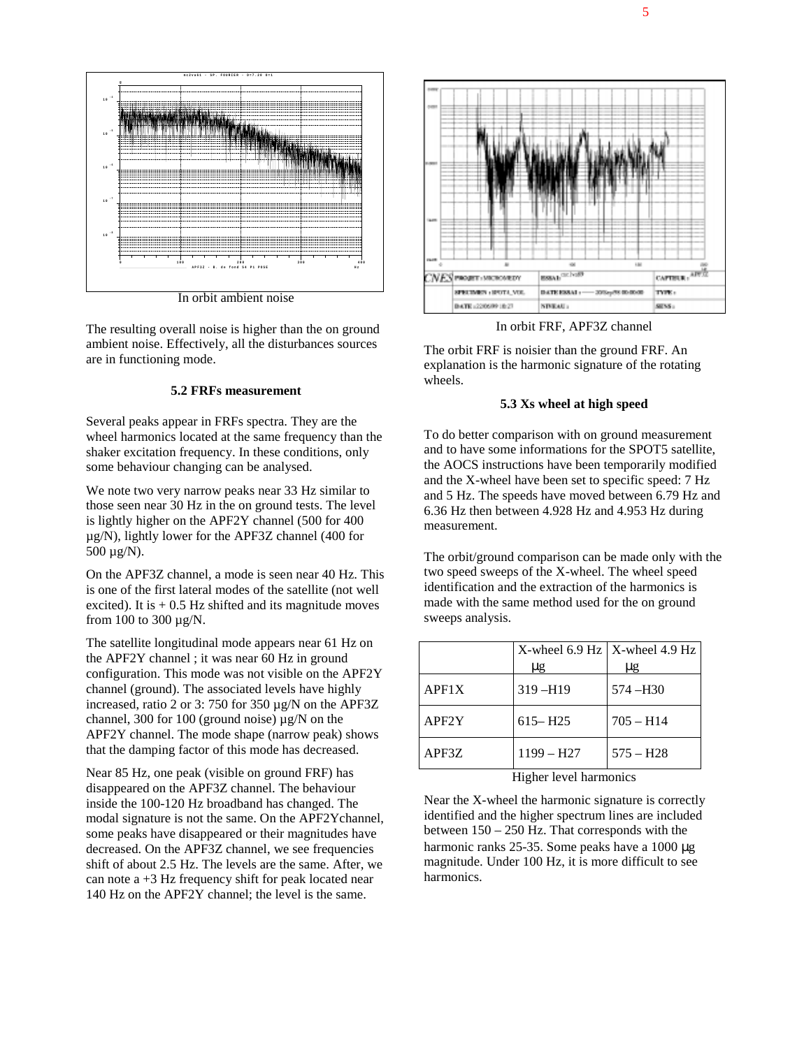



In orbit ambient noise

The resulting overall noise is higher than the on ground ambient noise. Effectively, all the disturbances sources are in functioning mode.

#### **5.2 FRFs measurement**

Several peaks appear in FRFs spectra. They are the wheel harmonics located at the same frequency than the shaker excitation frequency. In these conditions, only some behaviour changing can be analysed.

We note two very narrow peaks near 33 Hz similar to those seen near 30 Hz in the on ground tests. The level is lightly higher on the APF2Y channel (500 for 400 µg/N), lightly lower for the APF3Z channel (400 for 500 µg/N).

On the APF3Z channel, a mode is seen near 40 Hz. This is one of the first lateral modes of the satellite (not well excited). It is  $+ 0.5$  Hz shifted and its magnitude moves from 100 to 300 µg/N.

The satellite longitudinal mode appears near 61 Hz on the APF2Y channel ; it was near 60 Hz in ground configuration. This mode was not visible on the APF2Y channel (ground). The associated levels have highly increased, ratio 2 or 3: 750 for 350 µg/N on the APF3Z channel, 300 for 100 (ground noise)  $\mu$ g/N on the APF2Y channel. The mode shape (narrow peak) shows that the damping factor of this mode has decreased.

Near 85 Hz, one peak (visible on ground FRF) has disappeared on the APF3Z channel. The behaviour inside the 100-120 Hz broadband has changed. The modal signature is not the same. On the APF2Ychannel, some peaks have disappeared or their magnitudes have decreased. On the APF3Z channel, we see frequencies shift of about 2.5 Hz. The levels are the same. After, we can note  $a +3$  Hz frequency shift for peak located near 140 Hz on the APF2Y channel; the level is the same.



In orbit FRF, APF3Z channel

The orbit FRF is noisier than the ground FRF. An explanation is the harmonic signature of the rotating wheels.

### **5.3 Xs wheel at high speed**

To do better comparison with on ground measurement and to have some informations for the SPOT5 satellite, the AOCS instructions have been temporarily modified and the X-wheel have been set to specific speed: 7 Hz and 5 Hz. The speeds have moved between 6.79 Hz and 6.36 Hz then between 4.928 Hz and 4.953 Hz during measurement.

The orbit/ground comparison can be made only with the two speed sweeps of the X-wheel. The wheel speed identification and the extraction of the harmonics is made with the same method used for the on ground sweeps analysis.

|       | X-wheel $6.9$ Hz   X-wheel $4.9$ Hz<br>μg | μg          |
|-------|-------------------------------------------|-------------|
| APF1X | $319 - H19$                               | $574 - H30$ |
| APF2Y | $615 - H25$                               | $705 - H14$ |
| APF3Z | $1199 - H27$                              | $575 - H28$ |

Higher level harmonics

Near the X-wheel the harmonic signature is correctly identified and the higher spectrum lines are included between 150 – 250 Hz. That corresponds with the harmonic ranks 25-35. Some peaks have a 1000 µg magnitude. Under 100 Hz, it is more difficult to see harmonics.